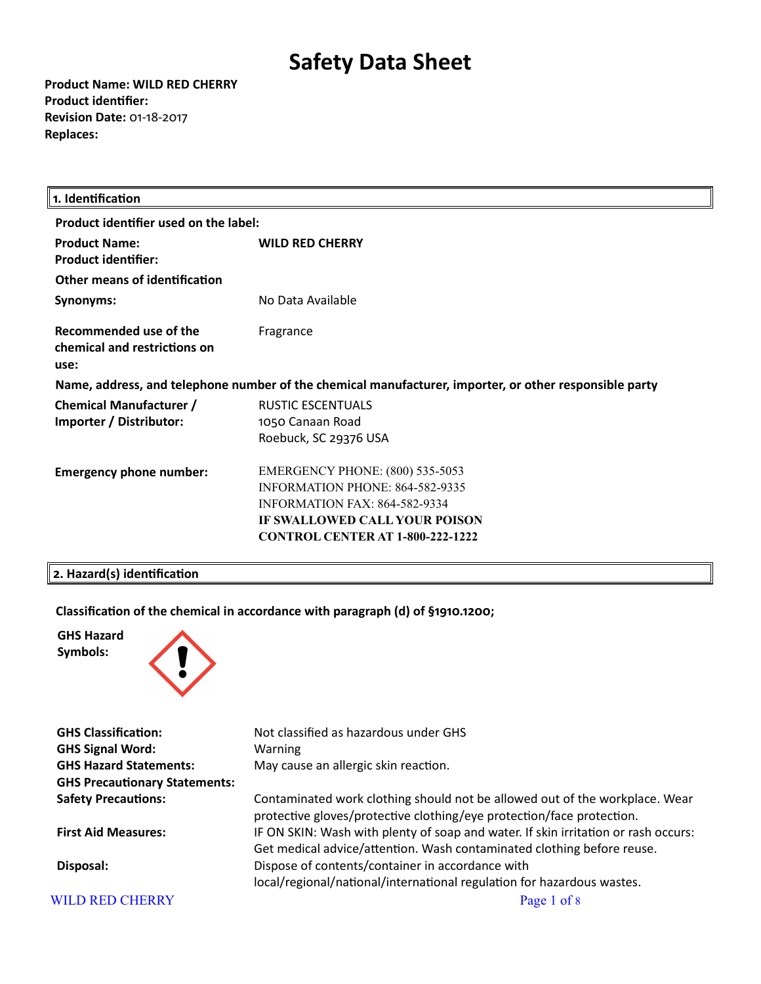**Product Name: WILD RED CHERRY Product identifier: Revision Date:** 01-18-2017 **Replaces:** 

| 1. Identification                                              |                                                                                                                                                                                                                 |
|----------------------------------------------------------------|-----------------------------------------------------------------------------------------------------------------------------------------------------------------------------------------------------------------|
| Product identifier used on the label:                          |                                                                                                                                                                                                                 |
| <b>Product Name:</b><br><b>Product identifier:</b>             | <b>WILD RED CHERRY</b>                                                                                                                                                                                          |
| Other means of identification                                  |                                                                                                                                                                                                                 |
| Synonyms:                                                      | No Data Available                                                                                                                                                                                               |
| Recommended use of the<br>chemical and restrictions on<br>use: | Fragrance                                                                                                                                                                                                       |
|                                                                | Name, address, and telephone number of the chemical manufacturer, importer, or other responsible party                                                                                                          |
| <b>Chemical Manufacturer /</b><br>Importer / Distributor:      | <b>RUSTIC ESCENTUALS</b><br>1050 Canaan Road<br>Roebuck, SC 29376 USA                                                                                                                                           |
| <b>Emergency phone number:</b>                                 | <b>EMERGENCY PHONE: (800) 535-5053</b><br><b>INFORMATION PHONE: 864-582-9335</b><br>INFORMATION $FAX \cdot 864 - 582 - 9334$<br><b>IF SWALLOWED CALL YOUR POISON</b><br><b>CONTROL CENTER AT 1-800-222-1222</b> |

# **2. Hazard(s) identification**

# **Classification of the chemical in accordance with paragraph (d) of §1910.1200;**





| <b>GHS Classification:</b>           | Not classified as hazardous under GHS                                                                                                                        |
|--------------------------------------|--------------------------------------------------------------------------------------------------------------------------------------------------------------|
| <b>GHS Signal Word:</b>              | <b>Warning</b>                                                                                                                                               |
| <b>GHS Hazard Statements:</b>        | May cause an allergic skin reaction.                                                                                                                         |
| <b>GHS Precautionary Statements:</b> |                                                                                                                                                              |
| <b>Safety Precautions:</b>           | Contaminated work clothing should not be allowed out of the workplace. Wear<br>protective gloves/protective clothing/eye protection/face protection.         |
| <b>First Aid Measures:</b>           | IF ON SKIN: Wash with plenty of soap and water. If skin irritation or rash occurs:<br>Get medical advice/attention. Wash contaminated clothing before reuse. |
| Disposal:                            | Dispose of contents/container in accordance with<br>local/regional/national/international regulation for hazardous wastes.                                   |
| <b>WILD RED CHERRY</b>               | Page 1 of 8                                                                                                                                                  |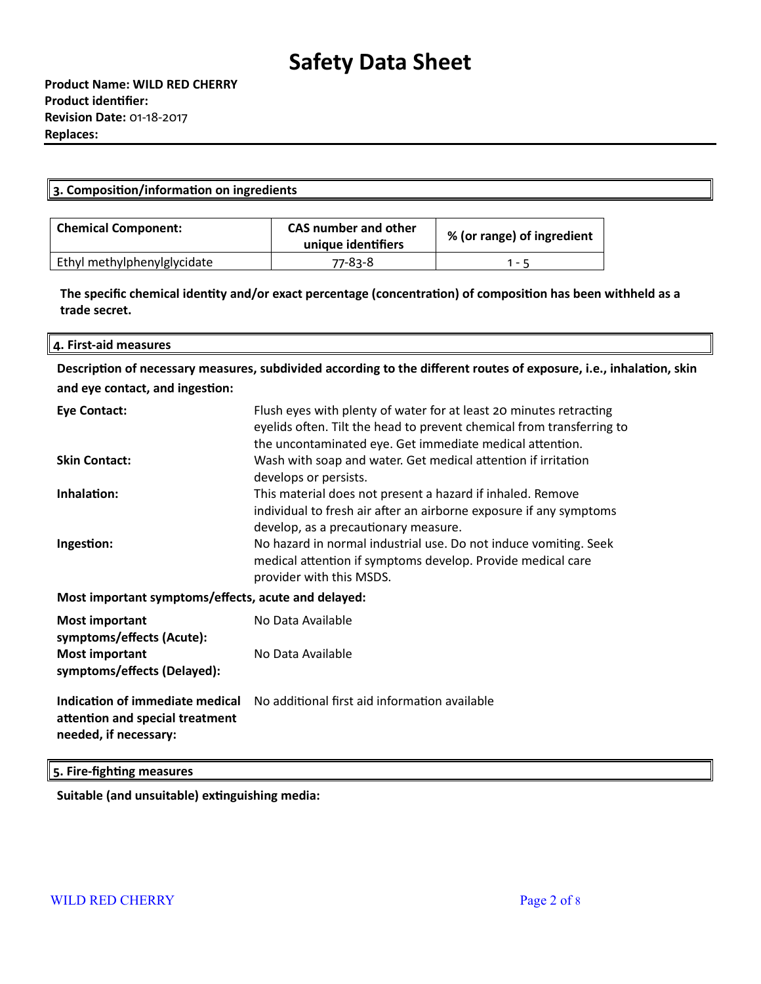| ם וו<br>----<br>- - -<br>- ----<br>ш<br>. . |
|---------------------------------------------|
|                                             |

| <b>Chemical Component:</b>  | CAS number and other<br>unique identifiers | % (or range) of ingredient |
|-----------------------------|--------------------------------------------|----------------------------|
| Ethyl methylphenylglycidate | 77-83-8                                    | $1 - 5$                    |

**The specific chemical identity and/or exact percentage (concentration) of composition has been withheld as a trade secret.**

#### **4. First-aid measures**

**Description of necessary measures, subdivided according to the different routes of exposure, i.e., inhalation, skin and eye contact, and ingestion:**

| Eye Contact:                                        | Flush eyes with plenty of water for at least 20 minutes retracting<br>eyelids often. Tilt the head to prevent chemical from transferring to<br>the uncontaminated eye. Get immediate medical attention. |
|-----------------------------------------------------|---------------------------------------------------------------------------------------------------------------------------------------------------------------------------------------------------------|
| <b>Skin Contact:</b>                                | Wash with soap and water. Get medical attention if irritation<br>develops or persists.                                                                                                                  |
| Inhalation:                                         | This material does not present a hazard if inhaled. Remove<br>individual to fresh air after an airborne exposure if any symptoms<br>develop, as a precautionary measure.                                |
| Ingestion:                                          | No hazard in normal industrial use. Do not induce vomiting. Seek<br>medical attention if symptoms develop. Provide medical care<br>provider with this MSDS.                                             |
| Most important symptoms/effects, acute and delayed: |                                                                                                                                                                                                         |
| <b>Most important</b><br>symptoms/effects (Acute):  | No Data Available                                                                                                                                                                                       |
| <b>Most important</b>                               | No Data Available                                                                                                                                                                                       |

**Most important symptoms/effects (Delayed):**

**Indication of immediate medical attention and special treatment needed, if necessary:** No additional first aid information available

### **5. Fire-fighting measures**

**Suitable (and unsuitable) extinguishing media:**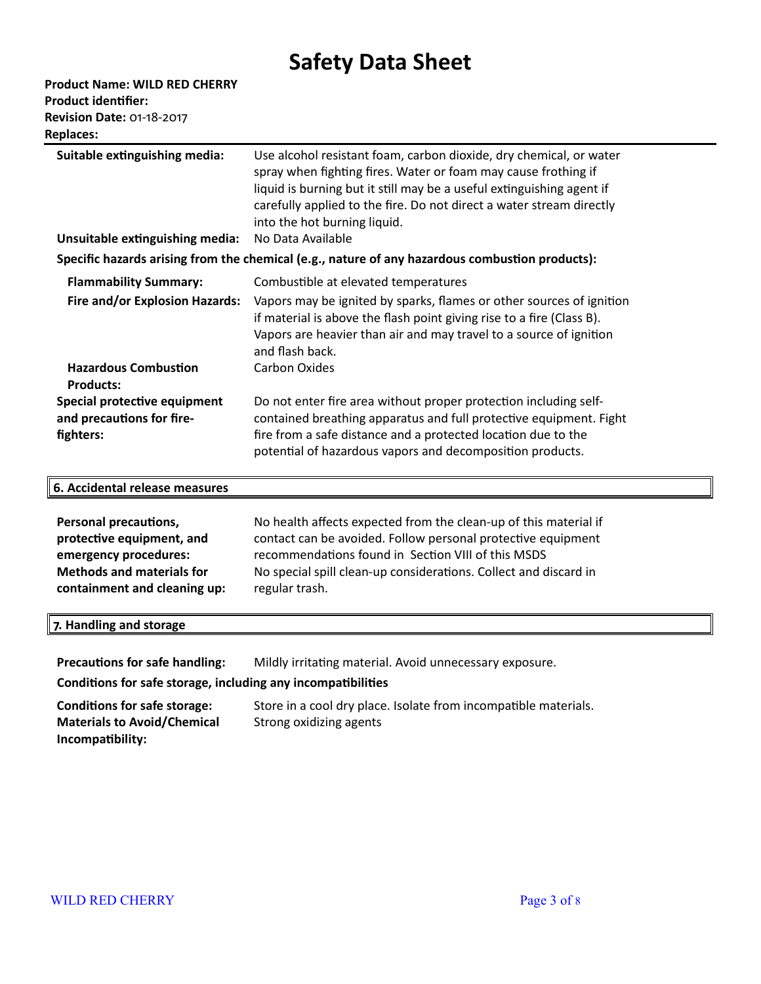| <b>Product Name: WILD RED CHERRY</b> |
|--------------------------------------|
| <b>Product identifier:</b>           |
| <b>Revision Date: 01-18-2017</b>     |
| <b>Replaces:</b>                     |

| Suitable extinguishing media:                                          | Use alcohol resistant foam, carbon dioxide, dry chemical, or water<br>spray when fighting fires. Water or foam may cause frothing if<br>liquid is burning but it still may be a useful extinguishing agent if<br>carefully applied to the fire. Do not direct a water stream directly |
|------------------------------------------------------------------------|---------------------------------------------------------------------------------------------------------------------------------------------------------------------------------------------------------------------------------------------------------------------------------------|
|                                                                        | into the hot burning liquid.                                                                                                                                                                                                                                                          |
| Unsuitable extinguishing media:                                        | No Data Available                                                                                                                                                                                                                                                                     |
|                                                                        | Specific hazards arising from the chemical (e.g., nature of any hazardous combustion products):                                                                                                                                                                                       |
| <b>Flammability Summary:</b>                                           | Combustible at elevated temperatures                                                                                                                                                                                                                                                  |
| Fire and/or Explosion Hazards:                                         | Vapors may be ignited by sparks, flames or other sources of ignition<br>if material is above the flash point giving rise to a fire (Class B).<br>Vapors are heavier than air and may travel to a source of ignition<br>and flash back.                                                |
| <b>Hazardous Combustion</b><br><b>Products:</b>                        | <b>Carbon Oxides</b>                                                                                                                                                                                                                                                                  |
| Special protective equipment<br>and precautions for fire-<br>fighters: | Do not enter fire area without proper protection including self-<br>contained breathing apparatus and full protective equipment. Fight<br>fire from a safe distance and a protected location due to the<br>potential of hazardous vapors and decomposition products.                  |

| 6. Accidental release measures   |                                                                  |
|----------------------------------|------------------------------------------------------------------|
| Personal precautions,            | No health affects expected from the clean-up of this material if |
| protective equipment, and        | contact can be avoided. Follow personal protective equipment     |
| emergency procedures:            | recommendations found in Section VIII of this MSDS               |
| <b>Methods and materials for</b> | No special spill clean-up considerations. Collect and discard in |
| containment and cleaning up:     | regular trash.                                                   |

# **7. Handling and storage**

**Precautions for safe handling:** Mildly irritating material. Avoid unnecessary exposure.

**Conditions for safe storage, including any incompatibilities**

**Conditions for safe storage:** Store in a cool dry place. Isolate from incompatible materials. **Materials to Avoid/Chemical Incompatibility:** Strong oxidizing agents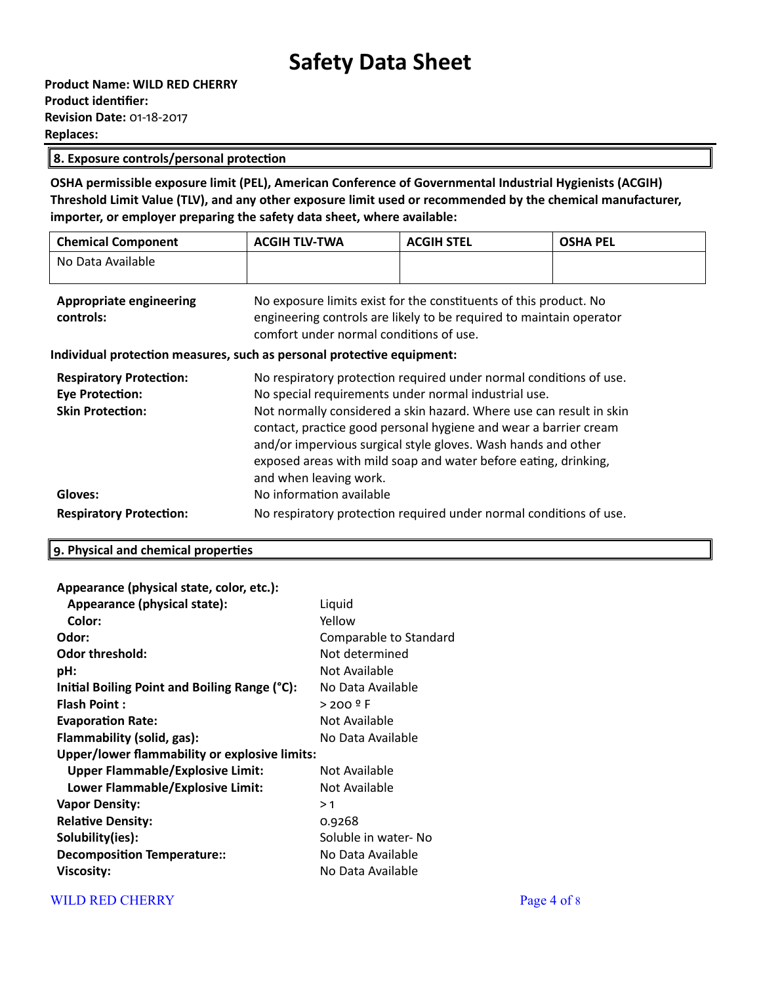### **8. Exposure controls/personal protection**

**OSHA permissible exposure limit (PEL), American Conference of Governmental Industrial Hygienists (ACGIH) Threshold Limit Value (TLV), and any other exposure limit used or recommended by the chemical manufacturer, importer, or employer preparing the safety data sheet, where available:**

| <b>Chemical Component</b> | <b>ACGIH TLV-TWA</b> | <b>ACGIH STEL</b> | <b>OSHA PEL</b> |
|---------------------------|----------------------|-------------------|-----------------|
| No Data Available         |                      |                   |                 |
|                           |                      |                   |                 |

| Appropriate engineering | No exposure limits exist for the constituents of this product. No   |  |
|-------------------------|---------------------------------------------------------------------|--|
| controls:               | engineering controls are likely to be required to maintain operator |  |
|                         | comfort under normal conditions of use.                             |  |

### **Individual protection measures, such as personal protective equipment:**

| <b>Respiratory Protection:</b> | No respiratory protection required under normal conditions of use.                                                                                                                                                                                                                                    |  |  |
|--------------------------------|-------------------------------------------------------------------------------------------------------------------------------------------------------------------------------------------------------------------------------------------------------------------------------------------------------|--|--|
| <b>Eye Protection:</b>         | No special requirements under normal industrial use.                                                                                                                                                                                                                                                  |  |  |
| <b>Skin Protection:</b>        | Not normally considered a skin hazard. Where use can result in skin<br>contact, practice good personal hygiene and wear a barrier cream<br>and/or impervious surgical style gloves. Wash hands and other<br>exposed areas with mild soap and water before eating, drinking,<br>and when leaving work. |  |  |
| Gloves:                        | No information available                                                                                                                                                                                                                                                                              |  |  |
| <b>Respiratory Protection:</b> | No respiratory protection required under normal conditions of use.                                                                                                                                                                                                                                    |  |  |

# **9. Physical and chemical properties**

### **Appearance (physical state, color, etc.):**

| Appearance (physical state):                  | Liquid                 |
|-----------------------------------------------|------------------------|
| Color:                                        | Yellow                 |
| Odor:                                         | Comparable to Standard |
| <b>Odor threshold:</b>                        | Not determined         |
| pH:                                           | Not Available          |
| Initial Boiling Point and Boiling Range (°C): | No Data Available      |
| <b>Flash Point:</b>                           | $>$ 200 $9$ F          |
| <b>Evaporation Rate:</b>                      | Not Available          |
| Flammability (solid, gas):                    | No Data Available      |
| Upper/lower flammability or explosive limits: |                        |
| <b>Upper Flammable/Explosive Limit:</b>       | Not Available          |
| Lower Flammable/Explosive Limit:              | Not Available          |
| <b>Vapor Density:</b>                         | >1                     |
| <b>Relative Density:</b>                      | 0.9268                 |
| Solubility(ies):                              | Soluble in water- No   |
| <b>Decomposition Temperature::</b>            | No Data Available      |
| Viscosity:                                    | No Data Available      |

# WILD RED CHERRY Page 4 of 8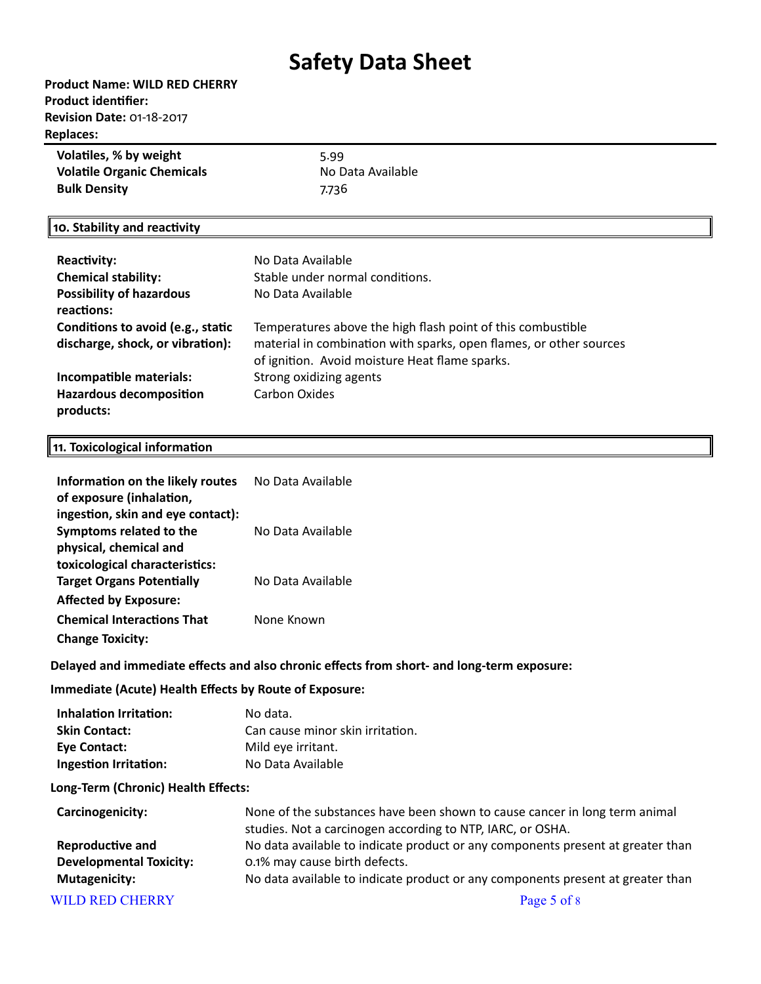# **Product Name: WILD RED CHERRY Product identifier: Revision Date:** 01-18-2017 **Replaces:**

| Volatiles, % by weight            | 5.99              |
|-----------------------------------|-------------------|
| <b>Volatile Organic Chemicals</b> | No Data Available |
| <b>Bulk Density</b>               | 7.736             |

### **10. Stability and reactivity**

| <b>Reactivity:</b><br><b>Chemical stability:</b><br><b>Possibility of hazardous</b><br>reactions: | No Data Available<br>Stable under normal conditions.<br>No Data Available                                                                                                           |
|---------------------------------------------------------------------------------------------------|-------------------------------------------------------------------------------------------------------------------------------------------------------------------------------------|
| Conditions to avoid (e.g., static<br>discharge, shock, or vibration):                             | Temperatures above the high flash point of this combustible<br>material in combination with sparks, open flames, or other sources<br>of ignition. Avoid moisture Heat flame sparks. |
| Incompatible materials:                                                                           | Strong oxidizing agents                                                                                                                                                             |
| <b>Hazardous decomposition</b><br>products:                                                       | Carbon Oxides                                                                                                                                                                       |

### **11. Toxicological information**

| Information on the likely routes<br>of exposure (inhalation,<br>ingestion, skin and eye contact): | No Data Available |
|---------------------------------------------------------------------------------------------------|-------------------|
| Symptoms related to the<br>physical, chemical and<br>toxicological characteristics:               | No Data Available |
| <b>Target Organs Potentially</b><br><b>Affected by Exposure:</b>                                  | No Data Available |
| <b>Chemical Interactions That</b><br><b>Change Toxicity:</b>                                      | None Known        |

# **Delayed and immediate effects and also chronic effects from short- and long-term exposure:**

# **Immediate (Acute) Health Effects by Route of Exposure:**

| Inhalation Irritation: | No data.                         |
|------------------------|----------------------------------|
| <b>Skin Contact:</b>   | Can cause minor skin irritation. |
| <b>Eve Contact:</b>    | Mild eye irritant.               |
| Ingestion Irritation:  | No Data Available                |

### **Long-Term (Chronic) Health Effects:**

| Carcinogenicity:               | None of the substances have been shown to cause cancer in long term animal<br>studies. Not a carcinogen according to NTP, IARC, or OSHA. |  |
|--------------------------------|------------------------------------------------------------------------------------------------------------------------------------------|--|
| <b>Reproductive and</b>        | No data available to indicate product or any components present at greater than                                                          |  |
| <b>Developmental Toxicity:</b> | 0.1% may cause birth defects.                                                                                                            |  |
| <b>Mutagenicity:</b>           | No data available to indicate product or any components present at greater than                                                          |  |
| <b>WILD RED CHERRY</b>         | Page 5 of 8                                                                                                                              |  |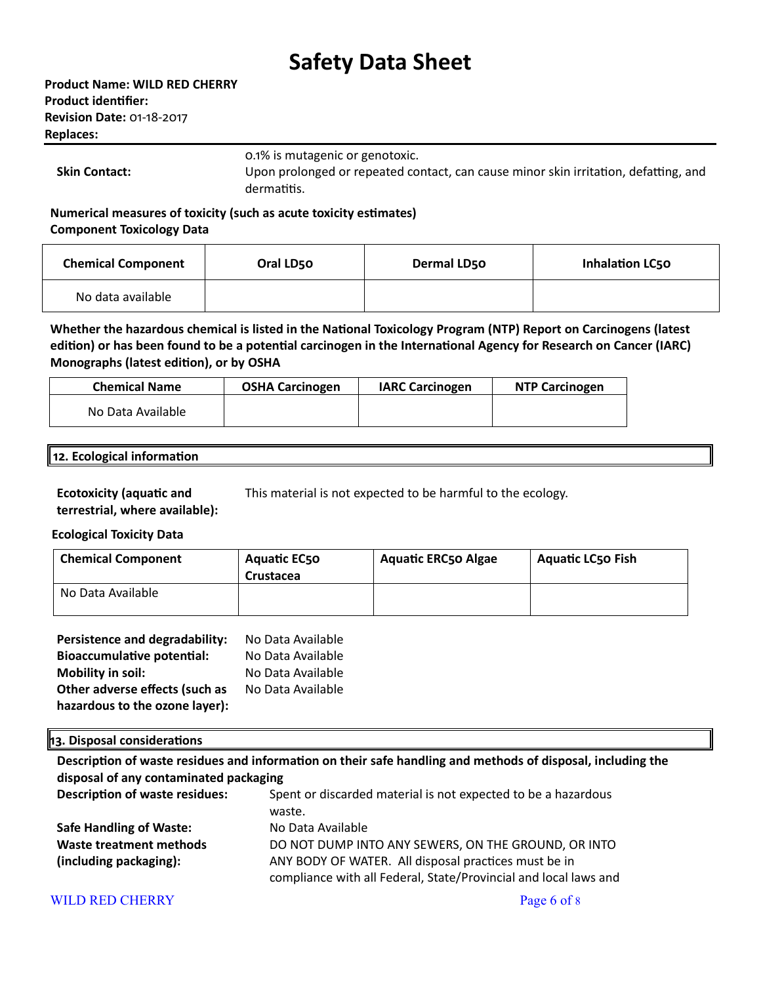| Product Name: WILD RED CHERRY    |
|----------------------------------|
| Product identifier:              |
| <b>Revision Date: 01-18-2017</b> |
| <b>Replaces:</b>                 |

0.1% is mutagenic or genotoxic.

**Skin Contact:** Upon prolonged or repeated contact, can cause minor skin irritation, defatting, and dermatitis.

**Numerical measures of toxicity (such as acute toxicity estimates) Component Toxicology Data**

| <b>Chemical Component</b> | Oral LD50 | Dermal LD50 | <b>Inhalation LC50</b> |
|---------------------------|-----------|-------------|------------------------|
| No data available         |           |             |                        |

**Whether the hazardous chemical is listed in the National Toxicology Program (NTP) Report on Carcinogens (latest edition) or has been found to be a potential carcinogen in the International Agency for Research on Cancer (IARC) Monographs (latest edition), or by OSHA**

| <b>Chemical Name</b> | <b>OSHA Carcinogen</b> | <b>IARC Carcinogen</b> | <b>NTP Carcinogen</b> |
|----------------------|------------------------|------------------------|-----------------------|
| No Data Available    |                        |                        |                       |

#### **12. Ecological information**

**Ecotoxicity (aquatic and terrestrial, where available):** This material is not expected to be harmful to the ecology.

# **Ecological Toxicity Data**

| <b>Chemical Component</b> | <b>Aquatic EC50</b><br>Crustacea | <b>Aquatic ERC50 Algae</b> | <b>Aquatic LC50 Fish</b> |
|---------------------------|----------------------------------|----------------------------|--------------------------|
| No Data Available         |                                  |                            |                          |

| Persistence and degradability:    | No Data Available |
|-----------------------------------|-------------------|
| <b>Bioaccumulative potential:</b> | No Data Available |
| <b>Mobility in soil:</b>          | No Data Available |
| Other adverse effects (such as    | No Data Available |
| hazardous to the ozone layer):    |                   |

# **13. Disposal considerations**

**Description of waste residues and information on their safe handling and methods of disposal, including the disposal of any contaminated packaging**

| <b>Description of waste residues:</b> | Spent or discarded material is not expected to be a hazardous<br>waste. |
|---------------------------------------|-------------------------------------------------------------------------|
| <b>Safe Handling of Waste:</b>        | No Data Available                                                       |
| Waste treatment methods               | DO NOT DUMP INTO ANY SEWERS, ON THE GROUND, OR INTO                     |
| (including packaging):                | ANY BODY OF WATER. All disposal practices must be in                    |
|                                       | compliance with all Federal, State/Provincial and local laws and        |

# WILD RED CHERRY Page 6 of 8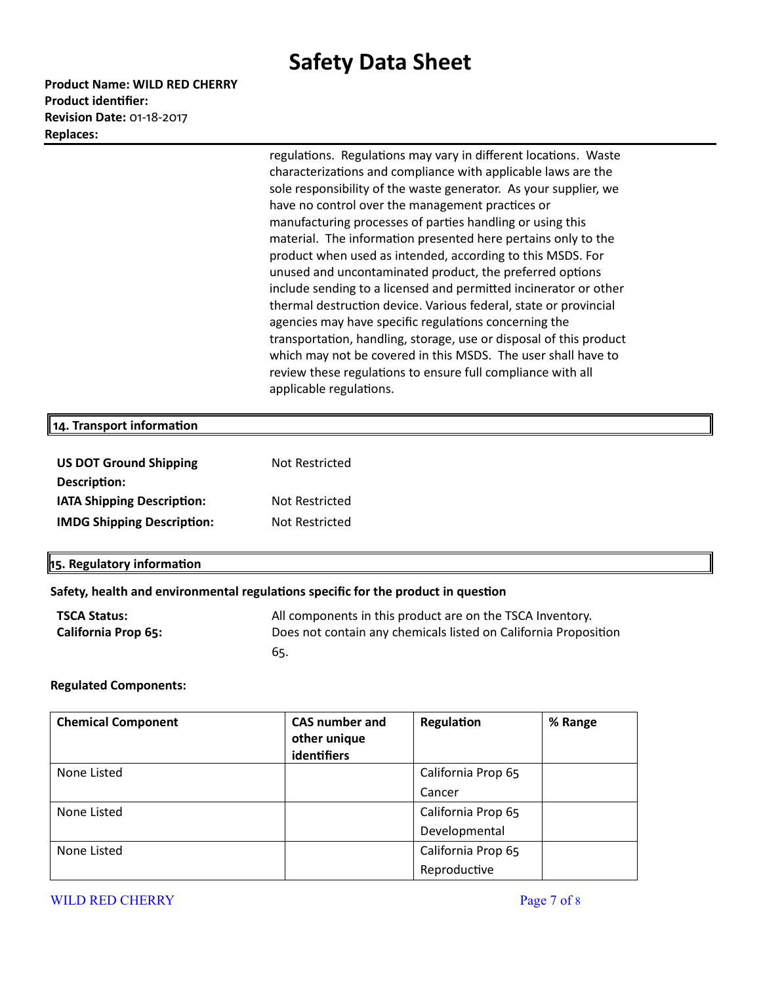**Product Name: WILD RED CHERRY Product identifier: Revision Date:** 01-18-2017 **Replaces:** 

> regulations. Regulations may vary in different locations. Waste characterizations and compliance with applicable laws are the sole responsibility of the waste generator. As your supplier, we have no control over the management practices or manufacturing processes of parties handling or using this material. The information presented here pertains only to the product when used as intended, according to this MSDS. For unused and uncontaminated product, the preferred options include sending to a licensed and permitted incinerator or other thermal destruction device. Various federal, state or provincial agencies may have specific regulations concerning the transportation, handling, storage, use or disposal of this product which may not be covered in this MSDS. The user shall have to review these regulations to ensure full compliance with all applicable regulations.

### **14. Transport information**

| <b>US DOT Ground Shipping</b>     | Not Restricted |
|-----------------------------------|----------------|
| Description:                      |                |
| <b>IATA Shipping Description:</b> | Not Restricted |
| <b>IMDG Shipping Description:</b> | Not Restricted |

# **15. Regulatory information**

# **Safety, health and environmental regulations specific for the product in question**

| <b>TSCA Status:</b>        | All components in this product are on the TSCA Inventory.       |
|----------------------------|-----------------------------------------------------------------|
| <b>California Prop 65:</b> | Does not contain any chemicals listed on California Proposition |
|                            | 65.                                                             |

#### **Regulated Components:**

| <b>Chemical Component</b> | <b>CAS number and</b> | Regulation         | % Range |
|---------------------------|-----------------------|--------------------|---------|
|                           | other unique          |                    |         |
|                           | identifiers           |                    |         |
| None Listed               |                       | California Prop 65 |         |
|                           |                       | Cancer             |         |
| None Listed               |                       | California Prop 65 |         |
|                           |                       | Developmental      |         |
| None Listed               |                       | California Prop 65 |         |
|                           |                       | Reproductive       |         |

# WILD RED CHERRY **Page 7 of 8**